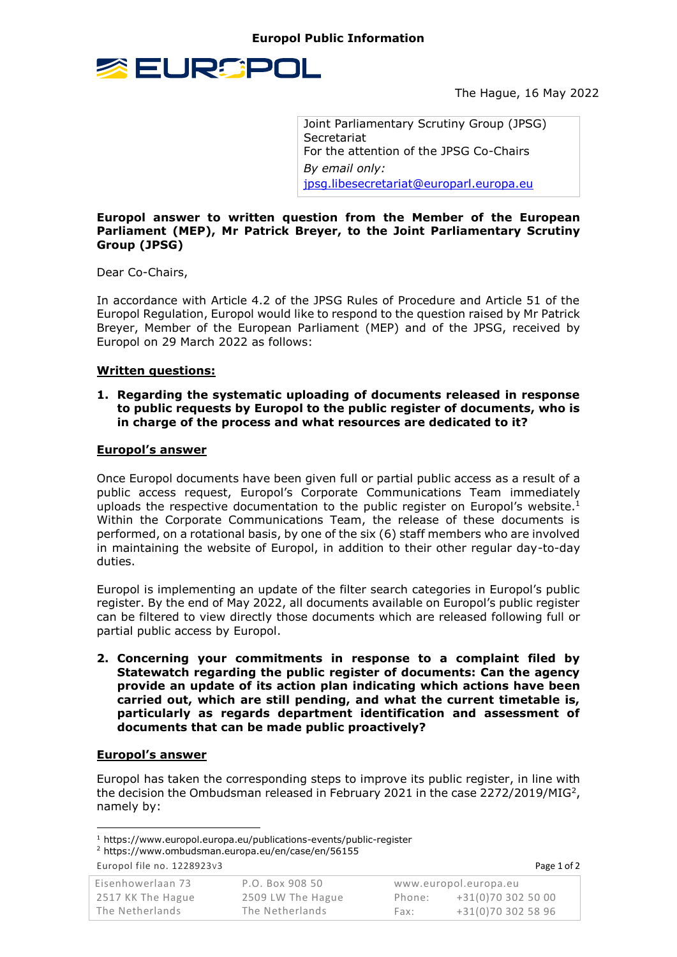

The Hague, 16 May 2022

Joint Parliamentary Scrutiny Group (JPSG) Secretariat For the attention of the JPSG Co-Chairs *By email only:* [jpsg.libesecretariat@europarl.europa.eu](mailto:jpsg.libesecretariat@europarl.europa.eu)

## **Europol answer to written question from the Member of the European Parliament (MEP), Mr Patrick Breyer, to the Joint Parliamentary Scrutiny Group (JPSG)**

Dear Co-Chairs,

In accordance with Article 4.2 of the JPSG Rules of Procedure and Article 51 of the Europol Regulation, Europol would like to respond to the question raised by Mr Patrick Breyer, Member of the European Parliament (MEP) and of the JPSG, received by Europol on 29 March 2022 as follows:

## **Written questions:**

### **1. Regarding the systematic uploading of documents released in response to public requests by Europol to the public register of documents, who is in charge of the process and what resources are dedicated to it?**

#### **Europol's answer**

Once Europol documents have been given full or partial public access as a result of a public access request, Europol's Corporate Communications Team immediately uploads the respective documentation to the public register on Europol's website.<sup>1</sup> Within the Corporate Communications Team, the release of these documents is performed, on a rotational basis, by one of the six (6) staff members who are involved in maintaining the website of Europol, in addition to their other regular day-to-day duties.

Europol is implementing an update of the filter search categories in Europol's public register. By the end of May 2022, all documents available on Europol's public register can be filtered to view directly those documents which are released following full or partial public access by Europol.

**2. Concerning your commitments in response to a complaint filed by Statewatch regarding the public register of documents: Can the agency provide an update of its action plan indicating which actions have been carried out, which are still pending, and what the current timetable is, particularly as regards department identification and assessment of documents that can be made public proactively?**

# **Europol's answer**

Europol has taken the corresponding steps to improve its public register, in line with the decision the Ombudsman released in February 2021 in the case 2272/2019/MIG<sup>2</sup>, namely by:

**.** 

| Eisenhowerlaan 73 | P.O. Box 908 50   | www.europol.europa.eu |                    |  |
|-------------------|-------------------|-----------------------|--------------------|--|
| 2517 KK The Hague | 2509 LW The Hague | Phone:                | +31(0)70 302 50 00 |  |
| The Netherlands   | The Netherlands   | Fax:                  | +31(0)70 302 58 96 |  |

<sup>1</sup> https://www.europol.europa.eu/publications-events/public-register

<sup>2</sup> https://www.ombudsman.europa.eu/en/case/en/56155

Europol file no. 1228923V3 Page 1 of 2